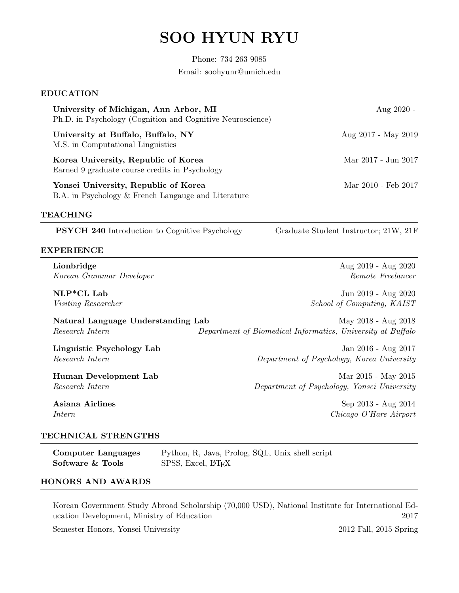# SOO HYUN RYU

Phone: 734 263 9085 Email: soohyunr@umich.edu

#### EDUCATION

| University of Michigan, Ann Arbor, MI<br>Ph.D. in Psychology (Cognition and Cognitive Neuroscience) | Aug $2020$ -        |
|-----------------------------------------------------------------------------------------------------|---------------------|
| University at Buffalo, Buffalo, NY<br>M.S. in Computational Linguistics                             | Aug 2017 - May 2019 |
| Korea University, Republic of Korea<br>Earned 9 graduate course credits in Psychology               | Mar 2017 - Jun 2017 |
| Yonsei University, Republic of Korea<br>B.A. in Psychology & French Langauge and Literature         | Mar 2010 - Feb 2017 |

#### TEACHING

PSYCH 240 Introduction to Cognitive Psychology Graduate Student Instructor; 21W, 21F

#### EXPERIENCE

Lionbridge Aug 2019 - Aug 2020 Korean Grammar Developer  $\blacksquare$ 

NLP\*CL Lab Jun 2019 - Aug 2020 Visiting Researcher School of Computing, KAIST

Natural Language Understanding Lab May 2018 - Aug 2018 Research Intern Department of Biomedical Informatics, University at Buffalo

Linguistic Psychology Lab Jan 2016 - Aug 2017 Research Intern Department of Psychology, Korea University

Human Development Lab Mar 2015 - May 2015 Research Intern Department of Psychology, Yonsei University

Asiana Airlines Sep 2013 - Aug 2014 Intern Chicago O'Hare Airport

## TECHNICAL STRENGTHS

Computer Languages Python, R, Java, Prolog, SQL, Unix shell script Software & Tools SPSS, Excel, LATEX

# HONORS AND AWARDS

Korean Government Study Abroad Scholarship (70,000 USD), National Institute for International Education Development, Ministry of Education 2017

Semester Honors, Yonsei University 2012 Fall, 2015 Spring